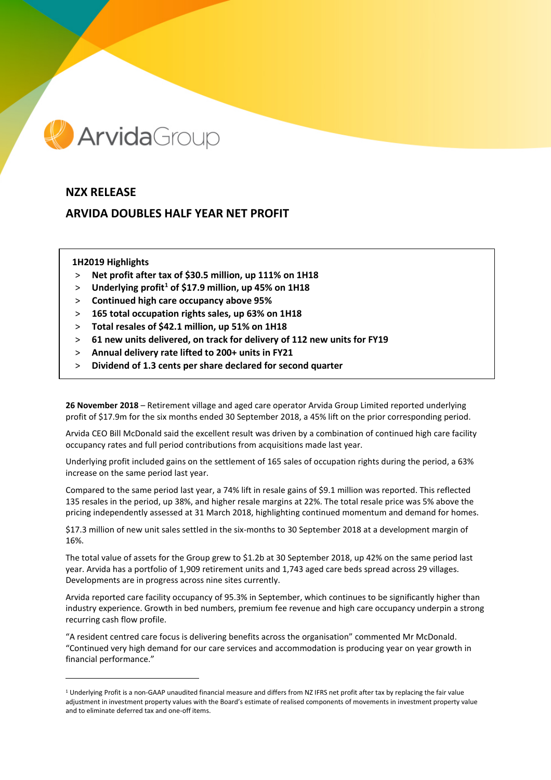

# **NZX RELEASE**

# **ARVIDA DOUBLES HALF YEAR NET PROFIT**

## **1H2019 Highlights**

 $\overline{a}$ 

- > **Net profit after tax of \$30.5 million, up 111% on 1H18**
- > **Underlying profit[1](#page-0-0) of \$17.9 million, up 45% on 1H18**
- > **Continued high care occupancy above 95%**
- > **165 total occupation rights sales, up 63% on 1H18**
- > **Total resales of \$42.1 million, up 51% on 1H18**
- > **61 new units delivered, on track for delivery of 112 new units for FY19**
- > **Annual delivery rate lifted to 200+ units in FY21**
- > **Dividend of 1.3 cents per share declared for second quarter**

**26 November 2018** – Retirement village and aged care operator Arvida Group Limited reported underlying profit of \$17.9m for the six months ended 30 September 2018, a 45% lift on the prior corresponding period.

Arvida CEO Bill McDonald said the excellent result was driven by a combination of continued high care facility occupancy rates and full period contributions from acquisitions made last year.

Underlying profit included gains on the settlement of 165 sales of occupation rights during the period, a 63% increase on the same period last year.

Compared to the same period last year, a 74% lift in resale gains of \$9.1 million was reported. This reflected 135 resales in the period, up 38%, and higher resale margins at 22%. The total resale price was 5% above the pricing independently assessed at 31 March 2018, highlighting continued momentum and demand for homes.

\$17.3 million of new unit sales settled in the six-months to 30 September 2018 at a development margin of 16%.

The total value of assets for the Group grew to \$1.2b at 30 September 2018, up 42% on the same period last year. Arvida has a portfolio of 1,909 retirement units and 1,743 aged care beds spread across 29 villages. Developments are in progress across nine sites currently.

Arvida reported care facility occupancy of 95.3% in September, which continues to be significantly higher than industry experience. Growth in bed numbers, premium fee revenue and high care occupancy underpin a strong recurring cash flow profile.

"A resident centred care focus is delivering benefits across the organisation" commented Mr McDonald. "Continued very high demand for our care services and accommodation is producing year on year growth in financial performance."

<span id="page-0-0"></span> $1$  Underlying Profit is a non-GAAP unaudited financial measure and differs from NZ IFRS net profit after tax by replacing the fair value adjustment in investment property values with the Board's estimate of realised components of movements in investment property value and to eliminate deferred tax and one-off items.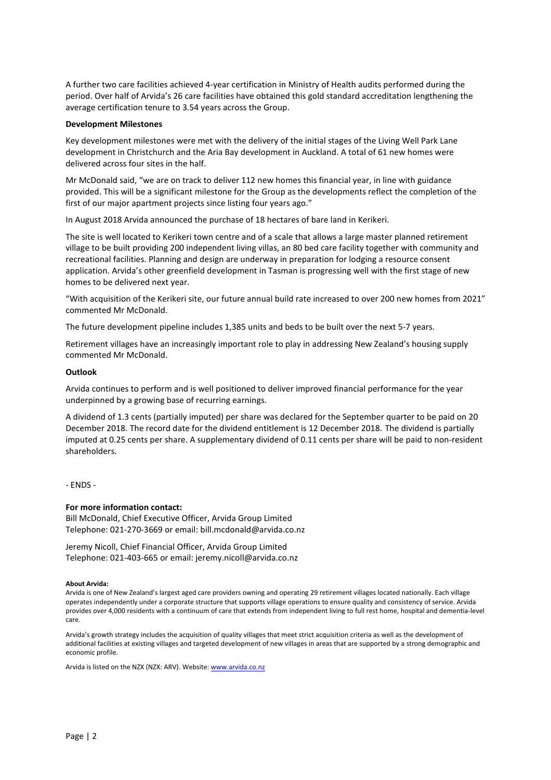A further two care facilities achieved 4-year certification in Ministry of Health audits performed during the period. Over half of Arvida's 26 care facilities have obtained this gold standard accreditation lengthening the average certification tenure to 3.54 years across the Group.

### **Development Milestones**

Key development milestones were met with the delivery of the initial stages of the Living Well Park Lane development in Christchurch and the Aria Bay development in Auckland. A total of 61 new homes were delivered across four sites in the half.

Mr McDonald said, "we are on track to deliver 112 new homes this financial year, in line with guidance provided. This will be a significant milestone for the Group as the developments reflect the completion of the first of our major apartment projects since listing four years ago."

In August 2018 Arvida announced the purchase of 18 hectares of bare land in Kerikeri.

The site is well located to Kerikeri town centre and of a scale that allows a large master planned retirement village to be built providing 200 independent living villas, an 80 bed care facility together with community and recreational facilities. Planning and design are underway in preparation for lodging a resource consent application. Arvida's other greenfield development in Tasman is progressing well with the first stage of new homes to be delivered next year.

"With acquisition of the Kerikeri site, our future annual build rate increased to over 200 new homes from 2021" commented Mr McDonald.

The future development pipeline includes 1,385 units and beds to be built over the next 5-7 years.

Retirement villages have an increasingly important role to play in addressing New Zealand's housing supply commented Mr McDonald.

#### **Outlook**

Arvida continues to perform and is well positioned to deliver improved financial performance for the year underpinned by a growing base of recurring earnings.

A dividend of 1.3 cents (partially imputed) per share was declared for the September quarter to be paid on 20 December 2018. The record date for the dividend entitlement is 12 December 2018. The dividend is partially imputed at 0.25 cents per share. A supplementary dividend of 0.11 cents per share will be paid to non-resident shareholders.

- ENDS -

## **For more information contact:**

Bill McDonald, Chief Executive Officer, Arvida Group Limited Telephone: 021-270-3669 or email: bill.mcdonald@arvida.co.nz

Jeremy Nicoll, Chief Financial Officer, Arvida Group Limited Telephone: 021-403-665 or email: jeremy.nicoll@arvida.co.nz

#### **About Arvida:**

Arvida is one of New Zealand's largest aged care providers owning and operating 29 retirement villages located nationally. Each village operates independently under a corporate structure that supports village operations to ensure quality and consistency of service. Arvida provides over 4,000 residents with a continuum of care that extends from independent living to full rest home, hospital and dementia-level care.

Arvida's growth strategy includes the acquisition of quality villages that meet strict acquisition criteria as well as the development of additional facilities at existing villages and targeted development of new villages in areas that are supported by a strong demographic and economic profile.

Arvida is listed on the NZX (NZX: ARV). Website[: www.arvida.co.nz](http://www.arvida.co.nz/)